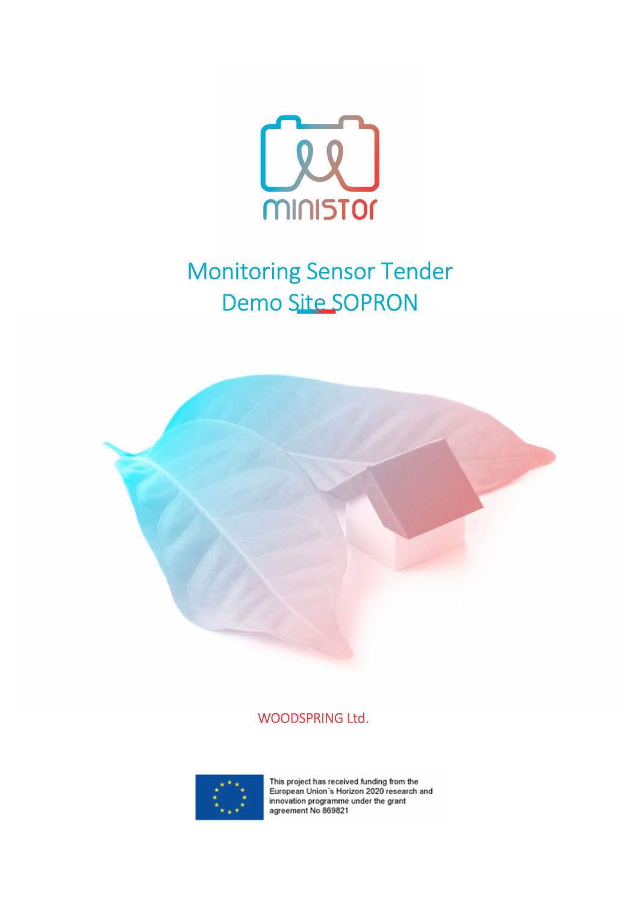

## Monitoring Sensor Tender Demo Site SOPRON



## WOODSPRING Ltd.



This project has received funding from the<br>European Union's Horizon 2020 research and innovation programme under the grant agreement No 869821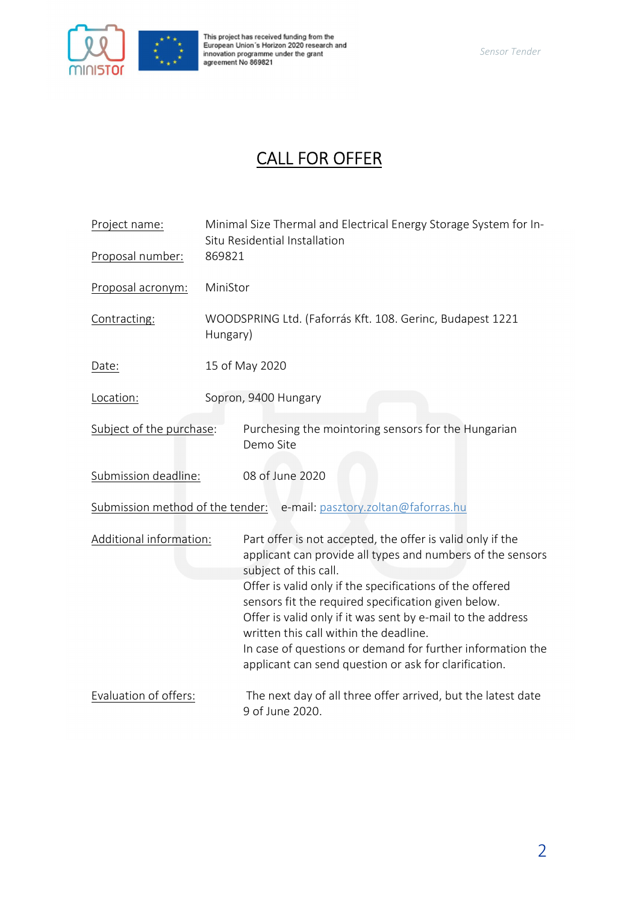

This project has received funding from the<br>European Union´s Horizon 2020 research and<br>innovation programme under the grant<br>agreement No 869821

## CALL FOR OFFER

| Project name:            | Minimal Size Thermal and Electrical Energy Storage System for In-<br>Situ Residential Installation                                                                                                                                                                                                                                                                                                                                                                                                   |
|--------------------------|------------------------------------------------------------------------------------------------------------------------------------------------------------------------------------------------------------------------------------------------------------------------------------------------------------------------------------------------------------------------------------------------------------------------------------------------------------------------------------------------------|
| Proposal number:         | 869821                                                                                                                                                                                                                                                                                                                                                                                                                                                                                               |
| Proposal acronym:        | MiniStor                                                                                                                                                                                                                                                                                                                                                                                                                                                                                             |
| Contracting:             | WOODSPRING Ltd. (Faforrás Kft. 108. Gerinc, Budapest 1221<br>Hungary)                                                                                                                                                                                                                                                                                                                                                                                                                                |
| Date:                    | 15 of May 2020                                                                                                                                                                                                                                                                                                                                                                                                                                                                                       |
| Location:                | Sopron, 9400 Hungary                                                                                                                                                                                                                                                                                                                                                                                                                                                                                 |
| Subject of the purchase: | Purchesing the mointoring sensors for the Hungarian<br>Demo Site                                                                                                                                                                                                                                                                                                                                                                                                                                     |
| Submission deadline:     | 08 of June 2020                                                                                                                                                                                                                                                                                                                                                                                                                                                                                      |
|                          | Submission method of the tender: e-mail: pasztory.zoltan@faforras.hu                                                                                                                                                                                                                                                                                                                                                                                                                                 |
| Additional information:  | Part offer is not accepted, the offer is valid only if the<br>applicant can provide all types and numbers of the sensors<br>subject of this call.<br>Offer is valid only if the specifications of the offered<br>sensors fit the required specification given below.<br>Offer is valid only if it was sent by e-mail to the address<br>written this call within the deadline.<br>In case of questions or demand for further information the<br>applicant can send question or ask for clarification. |
| Evaluation of offers:    | The next day of all three offer arrived, but the latest date<br>9 of June 2020.                                                                                                                                                                                                                                                                                                                                                                                                                      |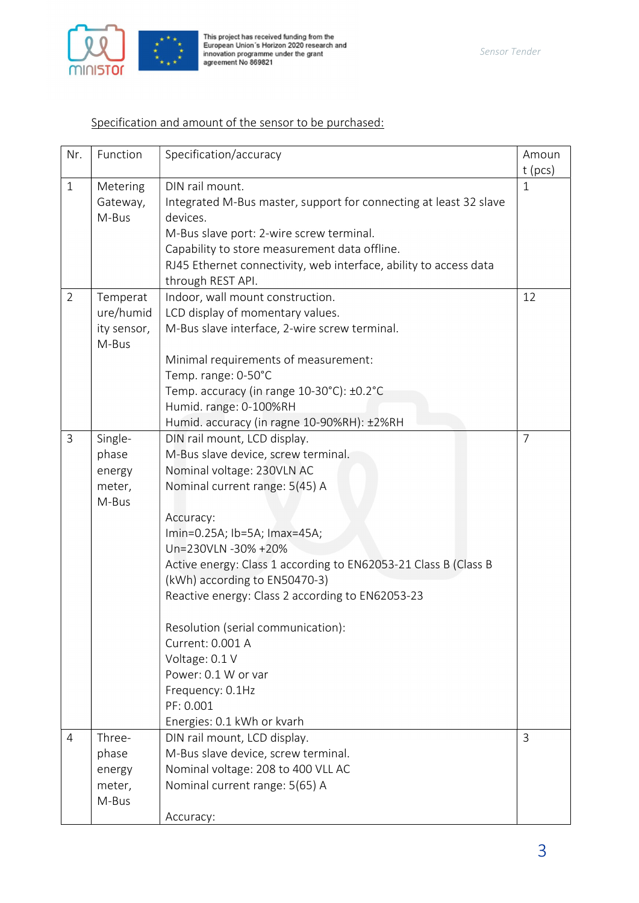

## Specification and amount of the sensor to be purchased:

| Nr.            | Function    | Specification/accuracy                                            | Amoun          |
|----------------|-------------|-------------------------------------------------------------------|----------------|
|                |             |                                                                   | $t$ (pcs)      |
| $\mathbf{1}$   | Metering    | DIN rail mount.                                                   | $\mathbf{1}$   |
|                | Gateway,    | Integrated M-Bus master, support for connecting at least 32 slave |                |
|                | M-Bus       | devices.                                                          |                |
|                |             | M-Bus slave port: 2-wire screw terminal.                          |                |
|                |             | Capability to store measurement data offline.                     |                |
|                |             | RJ45 Ethernet connectivity, web interface, ability to access data |                |
|                |             | through REST API.                                                 |                |
| $\overline{2}$ | Temperat    | Indoor, wall mount construction.                                  | 12             |
|                | ure/humid   | LCD display of momentary values.                                  |                |
|                | ity sensor, | M-Bus slave interface, 2-wire screw terminal.                     |                |
|                | M-Bus       |                                                                   |                |
|                |             | Minimal requirements of measurement:                              |                |
|                |             | Temp. range: 0-50°C                                               |                |
|                |             | Temp. accuracy (in range 10-30°C): ±0.2°C                         |                |
|                |             | Humid. range: 0-100%RH                                            |                |
|                |             | Humid. accuracy (in ragne 10-90%RH): ±2%RH                        |                |
| $\overline{3}$ | Single-     | DIN rail mount, LCD display.                                      | $\overline{7}$ |
|                | phase       | M-Bus slave device, screw terminal.                               |                |
|                | energy      | Nominal voltage: 230VLN AC                                        |                |
|                | meter,      | Nominal current range: 5(45) A                                    |                |
|                | M-Bus       |                                                                   |                |
|                |             | Accuracy:                                                         |                |
|                |             | Imin=0.25A; lb=5A; Imax=45A;                                      |                |
|                |             | Un=230VLN -30% +20%                                               |                |
|                |             | Active energy: Class 1 according to EN62053-21 Class B (Class B   |                |
|                |             | (kWh) according to EN50470-3)                                     |                |
|                |             | Reactive energy: Class 2 according to EN62053-23                  |                |
|                |             | Resolution (serial communication):                                |                |
|                |             | Current: 0.001 A                                                  |                |
|                |             | Voltage: 0.1 V                                                    |                |
|                |             | Power: 0.1 W or var                                               |                |
|                |             | Frequency: 0.1Hz                                                  |                |
|                |             | PF: 0.001                                                         |                |
|                |             | Energies: 0.1 kWh or kvarh                                        |                |
| $\overline{4}$ | Three-      | DIN rail mount, LCD display.                                      | $\mathbf{3}$   |
|                | phase       | M-Bus slave device, screw terminal.                               |                |
|                | energy      | Nominal voltage: 208 to 400 VLL AC                                |                |
|                | meter,      | Nominal current range: 5(65) A                                    |                |
|                | M-Bus       |                                                                   |                |
|                |             | Accuracy:                                                         |                |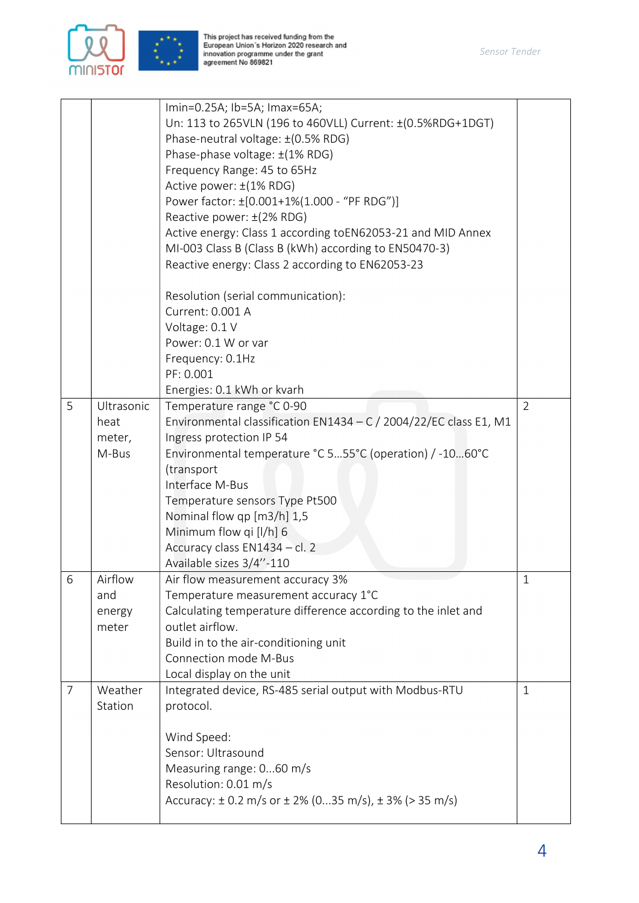

This project has received funding from the<br>European Union´s Horizon 2020 research and<br>innovation programme under the grant<br>agreement No 869821

|                |                 | Imin=0.25A; lb=5A; Imax=65A;<br>Un: 113 to 265VLN (196 to 460VLL) Current: ±(0.5%RDG+1DGT)<br>Phase-neutral voltage: ±(0.5% RDG)<br>Phase-phase voltage: ±(1% RDG)<br>Frequency Range: 45 to 65Hz<br>Active power: ±(1% RDG)<br>Power factor: ±[0.001+1%(1.000 - "PF RDG")]<br>Reactive power: ±(2% RDG)<br>Active energy: Class 1 according toEN62053-21 and MID Annex<br>MI-003 Class B (Class B (kWh) according to EN50470-3)<br>Reactive energy: Class 2 according to EN62053-23<br>Resolution (serial communication):<br>Current: 0.001 A<br>Voltage: 0.1 V |                |
|----------------|-----------------|------------------------------------------------------------------------------------------------------------------------------------------------------------------------------------------------------------------------------------------------------------------------------------------------------------------------------------------------------------------------------------------------------------------------------------------------------------------------------------------------------------------------------------------------------------------|----------------|
|                |                 | Power: 0.1 W or var                                                                                                                                                                                                                                                                                                                                                                                                                                                                                                                                              |                |
|                |                 | Frequency: 0.1Hz                                                                                                                                                                                                                                                                                                                                                                                                                                                                                                                                                 |                |
|                |                 | PF: 0.001                                                                                                                                                                                                                                                                                                                                                                                                                                                                                                                                                        |                |
|                |                 | Energies: 0.1 kWh or kvarh                                                                                                                                                                                                                                                                                                                                                                                                                                                                                                                                       |                |
| 5              | Ultrasonic      | Temperature range °C 0-90                                                                                                                                                                                                                                                                                                                                                                                                                                                                                                                                        | $\overline{2}$ |
|                | heat            | Environmental classification EN1434 – C / 2004/22/EC class E1, M1                                                                                                                                                                                                                                                                                                                                                                                                                                                                                                |                |
|                | meter,          | Ingress protection IP 54                                                                                                                                                                                                                                                                                                                                                                                                                                                                                                                                         |                |
|                | M-Bus           | Environmental temperature °C 555°C (operation) / -1060°C                                                                                                                                                                                                                                                                                                                                                                                                                                                                                                         |                |
|                |                 | (transport                                                                                                                                                                                                                                                                                                                                                                                                                                                                                                                                                       |                |
|                |                 | Interface M-Bus                                                                                                                                                                                                                                                                                                                                                                                                                                                                                                                                                  |                |
|                |                 | Temperature sensors Type Pt500                                                                                                                                                                                                                                                                                                                                                                                                                                                                                                                                   |                |
|                |                 | Nominal flow qp [m3/h] 1,5                                                                                                                                                                                                                                                                                                                                                                                                                                                                                                                                       |                |
|                |                 | Minimum flow qi [l/h] 6                                                                                                                                                                                                                                                                                                                                                                                                                                                                                                                                          |                |
|                |                 | Accuracy class EN1434 - cl. 2                                                                                                                                                                                                                                                                                                                                                                                                                                                                                                                                    |                |
|                |                 | Available sizes 3/4"-110                                                                                                                                                                                                                                                                                                                                                                                                                                                                                                                                         |                |
| 6              | Airflow         | Air flow measurement accuracy 3%                                                                                                                                                                                                                                                                                                                                                                                                                                                                                                                                 | $\mathbf{1}$   |
|                | and             | Temperature measurement accuracy 1°C<br>Calculating temperature difference according to the inlet and                                                                                                                                                                                                                                                                                                                                                                                                                                                            |                |
|                | energy<br>meter | outlet airflow.                                                                                                                                                                                                                                                                                                                                                                                                                                                                                                                                                  |                |
|                |                 | Build in to the air-conditioning unit                                                                                                                                                                                                                                                                                                                                                                                                                                                                                                                            |                |
|                |                 | Connection mode M-Bus                                                                                                                                                                                                                                                                                                                                                                                                                                                                                                                                            |                |
|                |                 | Local display on the unit                                                                                                                                                                                                                                                                                                                                                                                                                                                                                                                                        |                |
| $\overline{7}$ | Weather         | Integrated device, RS-485 serial output with Modbus-RTU                                                                                                                                                                                                                                                                                                                                                                                                                                                                                                          | $\mathbf{1}$   |
|                | Station         | protocol.                                                                                                                                                                                                                                                                                                                                                                                                                                                                                                                                                        |                |
|                |                 |                                                                                                                                                                                                                                                                                                                                                                                                                                                                                                                                                                  |                |
|                |                 | Wind Speed:                                                                                                                                                                                                                                                                                                                                                                                                                                                                                                                                                      |                |
|                |                 | Sensor: Ultrasound                                                                                                                                                                                                                                                                                                                                                                                                                                                                                                                                               |                |
|                |                 | Measuring range: 060 m/s                                                                                                                                                                                                                                                                                                                                                                                                                                                                                                                                         |                |
|                |                 | Resolution: 0.01 m/s                                                                                                                                                                                                                                                                                                                                                                                                                                                                                                                                             |                |
|                |                 | Accuracy: $\pm$ 0.2 m/s or $\pm$ 2% (035 m/s), $\pm$ 3% (> 35 m/s)                                                                                                                                                                                                                                                                                                                                                                                                                                                                                               |                |
|                |                 |                                                                                                                                                                                                                                                                                                                                                                                                                                                                                                                                                                  |                |